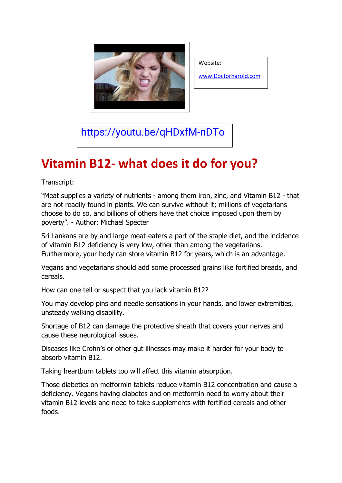

Website:

[www.Doctorharold.com](http://www.doctorharold.com/)

<https://youtu.be/qHDxfM-nDTo>

## **Vitamin B12- what does it do for you?**

Transcript:

"Meat supplies a variety of nutrients - among them iron, zinc, and Vitamin B12 - that are not readily found in plants. We can survive without it; millions of vegetarians choose to do so, and billions of others have that choice imposed upon them by poverty". - Author: Michael Specter

Sri Lankans are by and large meat-eaters a part of the staple diet, and the incidence of vitamin B12 deficiency is very low, other than among the vegetarians. Furthermore, your body can store vitamin B12 for years, which is an advantage.

Vegans and vegetarians should add some processed grains like fortified breads, and cereals.

How can one tell or suspect that you lack vitamin B12?

You may develop pins and needle sensations in your hands, and lower extremities, unsteady walking disability.

Shortage of B12 can damage the protective sheath that covers your nerves and cause these neurological issues.

Diseases like Crohn's or other gut illnesses may make it harder for your body to absorb vitamin B12.

Taking heartburn tablets too will affect this vitamin absorption.

Those diabetics on metformin tablets reduce vitamin B12 concentration and cause a deficiency. Vegans having diabetes and on metformin need to worry about their vitamin B12 levels and need to take supplements with fortified cereals and other foods.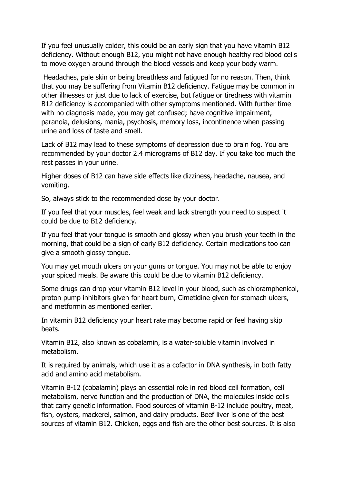If you feel unusually colder, this could be an early sign that you have vitamin B12 deficiency. Without enough B12, you might not have enough healthy red blood cells to move oxygen around through the blood vessels and keep your body warm.

Headaches, pale skin or being breathless and fatigued for no reason. Then, think that you may be suffering from Vitamin B12 deficiency. Fatigue may be common in other illnesses or just due to lack of exercise, but fatigue or tiredness with vitamin B12 deficiency is accompanied with other symptoms mentioned. With further time with no diagnosis made, you may get confused; have cognitive impairment, paranoia, delusions, mania, psychosis, memory loss, incontinence when passing urine and loss of taste and smell.

Lack of B12 may lead to these symptoms of depression due to brain fog. You are recommended by your doctor 2.4 micrograms of B12 day. If you take too much the rest passes in your urine.

Higher doses of B12 can have side effects like dizziness, headache, nausea, and vomiting.

So, always stick to the recommended dose by your doctor.

If you feel that your muscles, feel weak and lack strength you need to suspect it could be due to B12 deficiency.

If you feel that your tongue is smooth and glossy when you brush your teeth in the morning, that could be a sign of early B12 deficiency. Certain medications too can give a smooth glossy tongue.

You may get mouth ulcers on your gums or tongue. You may not be able to enjoy your spiced meals. Be aware this could be due to vitamin B12 deficiency.

Some drugs can drop your vitamin B12 level in your blood, such as chloramphenicol, proton pump inhibitors given for heart burn, Cimetidine given for stomach ulcers, and metformin as mentioned earlier.

In vitamin B12 deficiency your heart rate may become rapid or feel having skip beats.

Vitamin B12, also known as cobalamin, is a water-soluble vitamin involved in metabolism.

It is required by animals, which use it as a cofactor in DNA synthesis, in both fatty acid and amino acid metabolism.

Vitamin B-12 (cobalamin) plays an essential role in red blood cell formation, cell metabolism, nerve function and the production of DNA, the molecules inside cells that carry genetic information. Food sources of vitamin B-12 include poultry, meat, fish, oysters, mackerel, salmon, and dairy products. Beef liver is one of the best sources of vitamin B12. Chicken, eggs and fish are the other best sources. It is also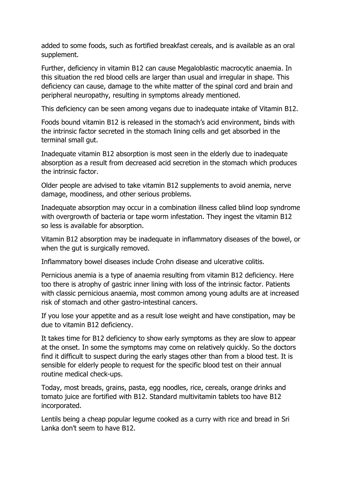added to some foods, such as fortified breakfast cereals, and is available as an oral supplement.

Further, deficiency in vitamin B12 can cause Megaloblastic macrocytic anaemia. In this situation the red blood cells are larger than usual and irregular in shape. This deficiency can cause, damage to the white matter of the spinal cord and brain and peripheral neuropathy, resulting in symptoms already mentioned.

This deficiency can be seen among vegans due to inadequate intake of Vitamin B12.

Foods bound vitamin B12 is released in the stomach's acid environment, binds with the intrinsic factor secreted in the stomach lining cells and get absorbed in the terminal small gut.

Inadequate vitamin B12 absorption is most seen in the elderly due to inadequate absorption as a result from decreased acid secretion in the stomach which produces the intrinsic factor.

Older people are advised to take vitamin B12 supplements to avoid anemia, nerve damage, moodiness, and other serious problems.

Inadequate absorption may occur in a combination illness called blind loop syndrome with overgrowth of bacteria or tape worm infestation. They ingest the vitamin B12 so less is available for absorption.

Vitamin B12 absorption may be inadequate in inflammatory diseases of the bowel, or when the gut is surgically removed.

Inflammatory bowel diseases include Crohn disease and ulcerative colitis.

Pernicious anemia is a type of anaemia resulting from vitamin B12 deficiency. Here too there is atrophy of gastric inner lining with loss of the intrinsic factor. Patients with classic pernicious anaemia, most common among young adults are at increased risk of stomach and other gastro-intestinal cancers.

If you lose your appetite and as a result lose weight and have constipation, may be due to vitamin B12 deficiency.

It takes time for B12 deficiency to show early symptoms as they are slow to appear at the onset. In some the symptoms may come on relatively quickly. So the doctors find it difficult to suspect during the early stages other than from a blood test. It is sensible for elderly people to request for the specific blood test on their annual routine medical check-ups.

Today, most breads, grains, pasta, egg noodles, rice, cereals, orange drinks and tomato juice are fortified with B12. Standard multivitamin tablets too have B12 incorporated.

Lentils being a cheap popular legume cooked as a curry with rice and bread in Sri Lanka don't seem to have B12.